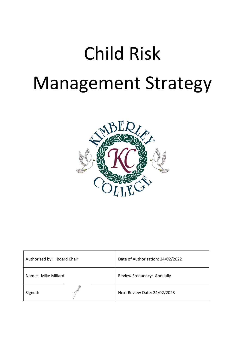

| Authorised by: Board Chair | Date of Authorisation: 24/02/2022 |
|----------------------------|-----------------------------------|
| Name: Mike Millard         | Review Frequency: Annually        |
| Signed:                    | Next Review Date: 24/02/2023      |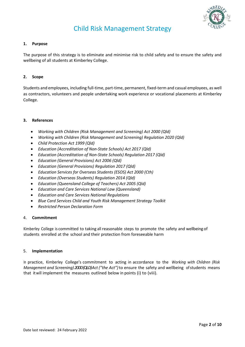

#### **1. Purpose**

The purpose of this strategy is to eliminate and minimise risk to child safety and to ensure the safety and wellbeing of all students at Kimberley College.

#### **2. Scope**

Students and employees, including full-time, part-time, permanent, fixed-term and casual employees, as well as contractors, volunteers and people undertaking work experience or vocational placements at Kimberley College.

#### **3. References**

- *Working with Children (Risk Management and Screening) Act 2000 (Qld)*
- *Working with Children (Risk Management and Screening) Regulation 2020 (Qld)*
- *Child Protection Act 1999 (Qld)*
- *Education (Accreditation of Non-State Schools) Act 2017 (Qld)*
- *Education (Accreditation of Non-State Schools) Regulation 2017 (Qld)*
- *Education (General Provisions) Act 2006 (Qld)*
- *Education (General Provisions) Regulation 2017 (Qld)*
- *Education Services for Overseas Students (ESOS) Act 2000 (Cth)*
- *Education (Overseas Students) Regulation 2014 (Qld)*
- *Education (Queensland College of Teachers) Act 2005 (Qld)*
- *Education and Care Services National Law (Queensland)*
- *Education and Care Services National Regulations*
- *Blue Card Services Child and Youth Risk Management Strategy Toolkit*
- *Restricted Person Declaration Form*

#### 4. **Commitment**

Kimberley College is committed to taking all reasonable steps to promote the safety and wellbeing of students enrolled at the school and their protection from foreseeable harm

#### 5. **Implementation**

In practice, Kimberley College's commitment to acting in accordance to the *Working with Children (Risk Management and Screening)2000 (QLD) Act ("the Act")*to ensure the safety and wellbeing ofstudents means that itwill implement the measures outlined below in points (i) to (viii).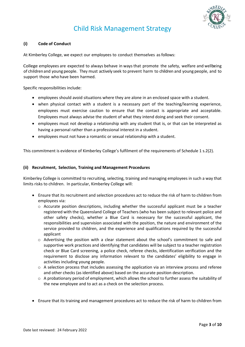

#### **(i) Code of Conduct**

At Kimberley College, we expect our employees to conduct themselves asfollows:

College employees are expected to always behave in waysthat promote the safety, welfare and wellbeing of childrenand young people. They must actively seek to prevent harm to children and young people, and to support those who have been harmed.

Specific responsibilities include:

- employees should avoid situations where they are alone in an enclosed space with a student.
- when physical contact with a student is a necessary part of the teaching/learning experience, employees must exercise caution to ensure that the contact is appropriate and acceptable. Employees must always advise the student of what they intend doing and seek their consent.
- employees must not develop a relationship with any student that is, or that can be interpreted as having a personal rather than a professional interest in a student.
- employees must not have a romantic or sexual relationship with a student.

This commitment is evidence of Kimberley College's fulfilment of the requirements of Schedule 1 s.2(2).

#### **(ii) Recruitment, Selection, Training and Management Procedures**

Kimberley College is committed to recruiting, selecting, training and managing employees in such a way that limits risks to children. In particular, Kimberley College will:

- Ensure that its recruitment and selection procedures act to reduce the risk of harm to children from employees via:
	- $\circ$  Accurate position descriptions, including whether the successful applicant must be a teacher registered with the Queensland College of Teachers (who has been subject to relevant police and other safety checks), whether a Blue Card is necessary for the successful applicant, the responsibilities and supervision associated with the position, the nature and environment of the service provided to children, and the experience and qualifications required by the successful applicant
	- o Advertising the position with a clear statement about the school's commitment to safe and supportive work practices and identifying that candidates will be subject to a teacher registration check or Blue Card screening, a police check, referee checks, identification verification and the requirement to disclose any information relevant to the candidates' eligibility to engage in activities including young people.
	- o A selection process that includes assessing the application via an interview process and referee and other checks (as identified above) based on the accurate position description.
	- $\circ$  A probationary period of employment, which allows the school to further assess the suitability of the new employee and to act as a check on the selection process.
- Ensure that its training and management procedures act to reduce the risk of harm to children from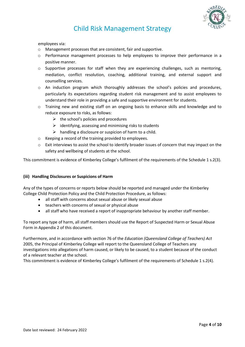

employees via:

- o Management processes that are consistent, fair and supportive.
- o Performance management processes to help employees to improve their performance in a positive manner.
- $\circ$  Supportive processes for staff when they are experiencing challenges, such as mentoring, mediation, conflict resolution, coaching, additional training, and external support and counselling services.
- o An induction program which thoroughly addresses the school's policies and procedures, particularly its expectations regarding student risk management and to assist employees to understand their role in providing a safe and supportive environment for students.
- $\circ$  Training new and existing staff on an ongoing basis to enhance skills and knowledge and to reduce exposure to risks, as follows:
	- $\triangleright$  the school's policies and procedures
	- $\triangleright$  identifying, assessing and minimising risks to students
	- $\triangleright$  handling a disclosure or suspicion of harm to a child.
- o Keeping a record of the training provided to employees.
- o Exit interviews to assist the school to identify broader issues of concern that may impact on the safety and wellbeing of students at the school.

This commitment is evidence of Kimberley College's fulfilment of the requirements of the Schedule 1 s.2(3).

#### **(iii) Handling Disclosures or Suspicions of Harm**

Any of the types of concerns or reports below should be reported and managed under the Kimberley College Child Protection Policy and the Child Protection Procedure, as follows:

- all staff with concerns about sexual abuse or likely sexual abuse
- teachers with concerns of sexual or physical abuse
- all staff who have received a report of inappropriate behaviour by another staff member.

To report any type of harm, all staff members should use the Report of Suspected Harm or Sexual Abuse Form in Appendix 2 of this document.

Furthermore, and in accordance with section 76 of the *Education (Queensland College of Teachers) Act* 2005, the Principal of Kimberley College will report to the Queensland College of Teachers any investigations into allegations of harm caused, or likely to be caused, to a student because of the conduct of a relevant teacher at the school.

This commitment is evidence of Kimberley College's fulfilment of the requirements of Schedule 1 s.2(4).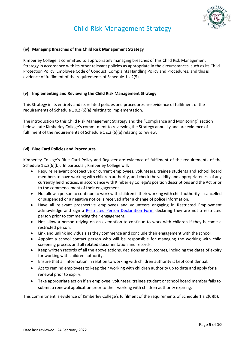

#### **(iv) Managing Breaches of this Child Risk Management Strategy**

Kimberley College is committed to appropriately managing breaches of this Child Risk Management Strategy in accordance with its other relevant policies as appropriate in the circumstances, such as its Child Protection Policy, Employee Code of Conduct, Complaints Handling Policy and Procedures, and this is evidence of fulfilment of the requirements of Schedule 1 s.2(5).

#### **(v) Implementing and Reviewing the Child Risk Management Strategy**

This Strategy in its entirety and its related policies and procedures are evidence of fulfilment of the requirements of Schedule 1 s.2 (6)(a) relating to implementation.

The introduction to this Child Risk Management Strategy and the "Compliance and Monitoring" section below state Kimberley College's commitment to reviewing the Strategy annually and are evidence of fulfilment of the requirements of Schedule 1 s.2 (6)(a) relating to review.

#### **(vi) Blue Card Policies and Procedures**

Kimberley College's Blue Card Policy and Register are evidence of fulfilment of the requirements of the Schedule 1 s.2(6)(b). In particular, Kimberley College will:

- Require relevant prospective or current employees, volunteers, trainee students and school board members to have working with children authority, and check the validity and appropriateness of any currently held notices, in accordance with Kimberley College's position descriptions and the Act prior to the commencement of their engagement.
- Not allow a person to continue to work with children if their working with child authority is cancelled or suspended or a negative notice is received after a change of police information.
- Have all relevant prospective employees and volunteers engaging in Restricted Employment acknowledge and sign a [Restricted Person Declaration Form](http://rms.isq.qld.edu.au/files/School_Business_Services/Policy_Documents/SBS_Template_RestrictedPersonDeclarationForm.docx) declaring they are not a restricted person prior to commencing their engagement.
- Not allow a person relying on an exemption to continue to work with children if they become a restricted person.
- Link and unlink individuals as they commence and conclude their engagement with the school*.*
- Appoint a school contact person who will be responsible for managing the working with child screening process and all related documentation and records.
- Keep written records of all the above actions, decisions and outcomes, including the dates of expiry for working with children authority.
- Ensure that all information in relation to working with children authority is kept confidential.
- Act to remind employees to keep their working with children authority up to date and apply for a renewal prior to expiry.
- Take appropriate action if an employee, volunteer, trainee student or school board member fails to submit a renewal application prior to their working with children authority expiring.

This commitment is evidence of Kimberley College's fulfilment of the requirements of Schedule 1 s.2(6)(b).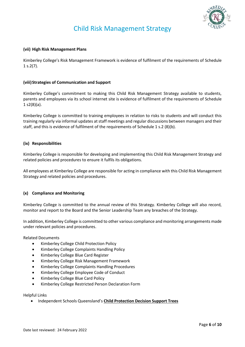

#### **(vii) High Risk Management Plans**

Kimberley College's Risk Management Framework is evidence of fulfilment of the requirements of Schedule  $1 s.2(7)$ .

#### **(viii)Strategies of Communication and Support**

Kimberley College's commitment to making this Child Risk Management Strategy available to students, parents and employees via its school internet site is evidence of fulfilment of the requirements of Schedule  $1 s2(8)(a)$ .

Kimberley College is committed to training employees in relation to risks to students and will conduct this training regularly via informal updates at staff meetings and regular discussions between managers and their staff, and this is evidence of fulfilment of the requirements of Schedule 1 s.2 (8)(b).

#### **(ix) Responsibilities**

Kimberley College is responsible for developing and implementing this Child Risk Management Strategy and related policies and procedures to ensure it fulfils its obligations.

All employees at Kimberley College are responsible for acting in compliance with this Child Risk Management Strategy and related policies and procedures.

#### **(x) Compliance and Monitoring**

Kimberley College is committed to the annual review of this Strategy. Kimberley College will also record, monitor and report to the Board and the Senior Leadership Team any breaches of the Strategy.

In addition, Kimberley College is committed to other various compliance and monitoring arrangements made under relevant policies and procedures.

Related Documents

- Kimberley College Child Protection Policy
- Kimberley College Complaints Handling Policy
- Kimberley College Blue Card Register
- Kimberley College Risk Management Framework
- Kimberley College Complaints Handling Procedures
- Kimberley College Employee Code of Conduct
- Kimberley College Blue Card Policy
- Kimberley College Restricted Person Declaration Form

Helpful Links

• Independent Schools Queensland's **[Child Protection Decision Support Trees](https://www.isq.qld.edu.au/members/child-protection)**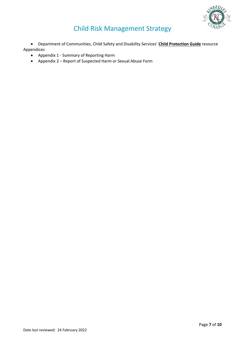

• Department of Communities, Child Safety and Disability Services' **[Child Protection Guide](http://www.communities.qld.gov.au/childsafety/partners/our-government-partners/queensland-child-protection-guide/online-child-protection-guide)** resource Appendices

- Appendix 1 Summary of Reporting Harm
- Appendix 2 Report of Suspected Harm or Sexual Abuse Form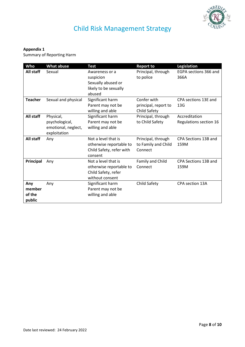

#### **Appendix 1**

Summary of Reporting Harm

| Who                               | <b>What abuse</b>                                                  | <b>Test</b>                                                                              | <b>Report to</b>                                     | <b>Legislation</b>                      |
|-----------------------------------|--------------------------------------------------------------------|------------------------------------------------------------------------------------------|------------------------------------------------------|-----------------------------------------|
| All staff                         | Sexual                                                             | Awareness or a<br>suspicion<br>Sexually abused or<br>likely to be sexually<br>abused     | Principal, through<br>to police                      | EGPA sections 366 and<br>366A           |
| <b>Teacher</b>                    | Sexual and physical                                                | Significant harm<br>Parent may not be<br>willing and able                                | Confer with<br>principal, report to<br>Child Safety  | CPA sections 13E and<br>13 <sub>G</sub> |
| All staff                         | Physical,<br>psychological,<br>emotional, neglect,<br>exploitation | Significant harm<br>Parent may not be<br>willing and able                                | Principal, through<br>to Child Safety                | Accreditation<br>Regulations section 16 |
| All staff                         | Any                                                                | Not a level that is<br>otherwise reportable to<br>Child Safety, refer with<br>consent    | Principal, through<br>to Family and Child<br>Connect | CPA Sections 13B and<br>159M            |
| Principal                         | Any                                                                | Not a level that is<br>otherwise reportable to<br>Child Safety, refer<br>without consent | Family and Child<br>Connect                          | CPA Sections 13B and<br>159M            |
| Any<br>member<br>of the<br>public | Any                                                                | Significant harm<br>Parent may not be<br>willing and able                                | Child Safety                                         | CPA section 13A                         |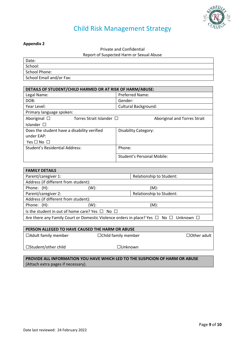

#### **Appendix 2**

Private and Confidential

Report of Suspected Harm or Sexual Abuse

| Date:                    |
|--------------------------|
| School:                  |
| School Phone:            |
| School Email and/or Fax: |

| DETAILS OF STUDENT/CHILD HARMED OR AT RISK OF HARM/ABUSE: |                                   |  |
|-----------------------------------------------------------|-----------------------------------|--|
| Legal Name:                                               | <b>Preferred Name:</b>            |  |
| DOB:                                                      | Gender:                           |  |
| Year Level:                                               | <b>Cultural Background:</b>       |  |
| Primary language spoken:                                  |                                   |  |
| Aboriginal $\square$<br>Torres Strait Islander $\Box$     | Aboriginal and Torres Strait      |  |
| Islander $\square$                                        |                                   |  |
| Does the student have a disability verified<br>under EAP: | <b>Disability Category:</b>       |  |
| Yes $\square$ No $\square$                                |                                   |  |
| <b>Student's Residential Address:</b>                     | Phone:                            |  |
|                                                           | <b>Student's Personal Mobile:</b> |  |

| <b>FAMILY DETAILS</b>                                                                                |      |                          |  |
|------------------------------------------------------------------------------------------------------|------|--------------------------|--|
| Parent/caregiver 1:                                                                                  |      | Relationship to Student: |  |
| Address (if different from student):                                                                 |      |                          |  |
| Phone: (H):                                                                                          | (W): | $(M)$ :                  |  |
| Parent/caregiver 2:                                                                                  |      | Relationship to Student: |  |
| Address (if different from student):                                                                 |      |                          |  |
| Phone: (H):                                                                                          | (W): | $(M)$ :                  |  |
| Is the student in out of home care? Yes $\Box$ No $\Box$                                             |      |                          |  |
| Are there any Family Court or Domestic Violence orders in place? Yes $\Box$ No $\Box$ Unknown $\Box$ |      |                          |  |

| PERSON ALLEGED TO HAVE CAUSED THE HARM OR ABUSE |                            |                    |
|-------------------------------------------------|----------------------------|--------------------|
| $\Box$ Adult family member                      | $\Box$ Child family member | $\Box$ Other adult |
| $\Box$ Student/other child                      | $\square$ Unknown          |                    |

#### **PROVIDE ALL INFORMATION YOU HAVE WHICH LED TO THE SUSPICION OF HARM OR ABUSE**  (Attach extra pages if necessary).